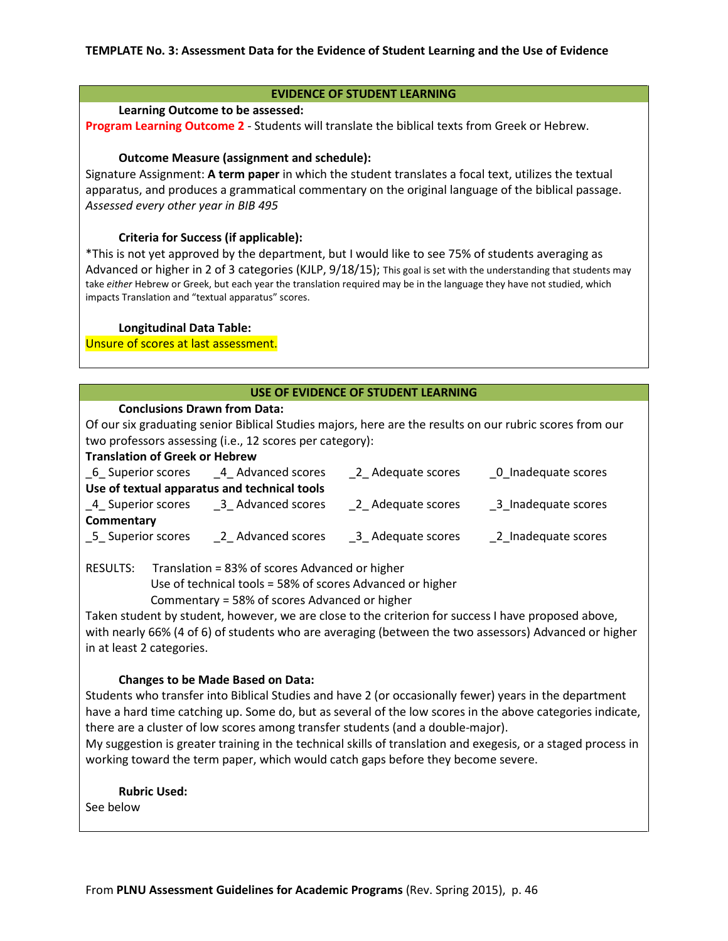## **EVIDENCE OF STUDENT LEARNING**

## **Learning Outcome to be assessed:**

**Program Learning Outcome 2** - Students will translate the biblical texts from Greek or Hebrew.

## **Outcome Measure (assignment and schedule):**

Signature Assignment: **A term paper** in which the student translates a focal text, utilizes the textual apparatus, and produces a grammatical commentary on the original language of the biblical passage. *Assessed every other year in BIB 495*

## **Criteria for Success (if applicable):**

\*This is not yet approved by the department, but I would like to see 75% of students averaging as Advanced or higher in 2 of 3 categories (KJLP, 9/18/15); This goal is set with the understanding that students may take *either* Hebrew or Greek, but each year the translation required may be in the language they have not studied, which impacts Translation and "textual apparatus" scores.

## **Longitudinal Data Table:**

Unsure of scores at last assessment.

## **USE OF EVIDENCE OF STUDENT LEARNING**

# **Conclusions Drawn from Data:**

Of our six graduating senior Biblical Studies majors, here are the results on our rubric scores from our two professors assessing (i.e., 12 scores per category):

#### **Translation of Greek or Hebrew**

| 6 Superior scores | 4 Advanced scores                            | 2 Adequate scores | 0 Inadequate scores |
|-------------------|----------------------------------------------|-------------------|---------------------|
|                   | Use of textual apparatus and technical tools |                   |                     |
| 4 Superior scores | 3 Advanced scores                            | 2 Adequate scores | 3 Inadequate scores |
| Commentary        |                                              |                   |                     |
| 5 Superior scores | 2 Advanced scores                            | 3 Adequate scores | 2 Inadequate scores |

RESULTS: Translation = 83% of scores Advanced or higher

Use of technical tools = 58% of scores Advanced or higher

Commentary = 58% of scores Advanced or higher

Taken student by student, however, we are close to the criterion for success I have proposed above, with nearly 66% (4 of 6) of students who are averaging (between the two assessors) Advanced or higher in at least 2 categories.

## **Changes to be Made Based on Data:**

Students who transfer into Biblical Studies and have 2 (or occasionally fewer) years in the department have a hard time catching up. Some do, but as several of the low scores in the above categories indicate, there are a cluster of low scores among transfer students (and a double-major).

My suggestion is greater training in the technical skills of translation and exegesis, or a staged process in working toward the term paper, which would catch gaps before they become severe.

#### **Rubric Used:**

See below